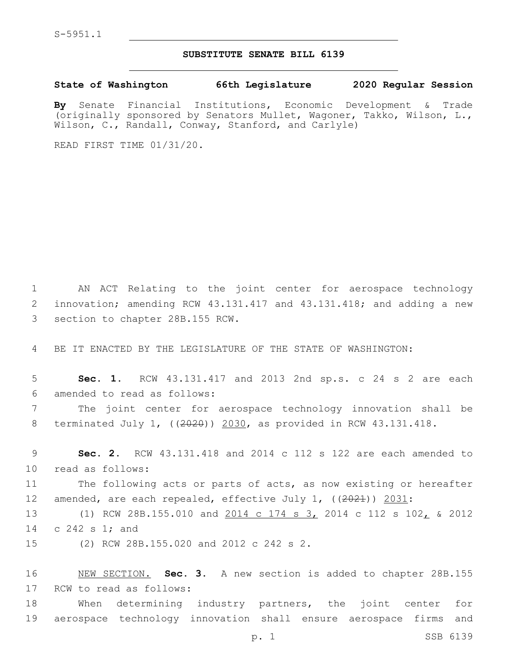## **SUBSTITUTE SENATE BILL 6139**

**State of Washington 66th Legislature 2020 Regular Session**

**By** Senate Financial Institutions, Economic Development & Trade (originally sponsored by Senators Mullet, Wagoner, Takko, Wilson, L., Wilson, C., Randall, Conway, Stanford, and Carlyle)

READ FIRST TIME 01/31/20.

1 AN ACT Relating to the joint center for aerospace technology 2 innovation; amending RCW 43.131.417 and 43.131.418; and adding a new 3 section to chapter 28B.155 RCW.

4 BE IT ENACTED BY THE LEGISLATURE OF THE STATE OF WASHINGTON:

5 **Sec. 1.** RCW 43.131.417 and 2013 2nd sp.s. c 24 s 2 are each 6 amended to read as follows:

7 The joint center for aerospace technology innovation shall be 8 terminated July 1, ((2020)) 2030, as provided in RCW 43.131.418.

9 **Sec. 2.** RCW 43.131.418 and 2014 c 112 s 122 are each amended to 10 read as follows:

11 The following acts or parts of acts, as now existing or hereafter 12 amended, are each repealed, effective July 1, ((2021)) 2031:

13 (1) RCW 28B.155.010 and 2014 c 174 s 3, 2014 c 112 s 102, & 2012 14 c 242 s 1; and

15 (2) RCW 28B.155.020 and 2012 c 242 s 2.

16 NEW SECTION. **Sec. 3.** A new section is added to chapter 28B.155 17 RCW to read as follows:

18 When determining industry partners, the joint center for 19 aerospace technology innovation shall ensure aerospace firms and

p. 1 SSB 6139